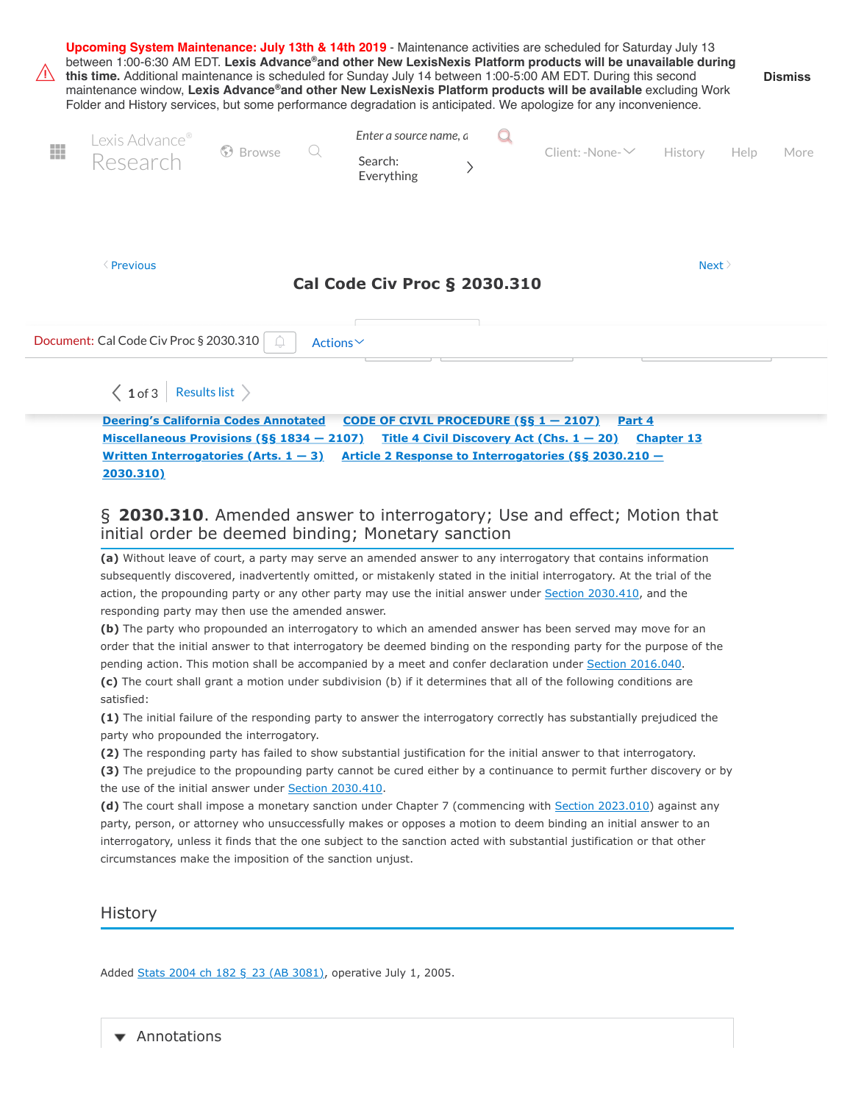| Upcoming System Maintenance: July 13th & 14th 2019 - Maintenance activities are scheduled for Saturday July 13<br>between 1:00-6:30 AM EDT. Lexis Advance®and other New LexisNexis Platform products will be unavailable during<br>$\sqrt{N}$<br>this time. Additional maintenance is scheduled for Sunday July 14 between 1:00-5:00 AM EDT. During this second<br><b>Dismiss</b><br>maintenance window, Lexis Advance®and other New LexisNexis Platform products will be available excluding Work<br>Folder and History services, but some performance degradation is anticipated. We apologize for any inconvenience. |                                                      |                                                                                                                                      |                                                                                               |                              |                                                                                                                                                                                                                                                                                                              |                   |      |      |
|-------------------------------------------------------------------------------------------------------------------------------------------------------------------------------------------------------------------------------------------------------------------------------------------------------------------------------------------------------------------------------------------------------------------------------------------------------------------------------------------------------------------------------------------------------------------------------------------------------------------------|------------------------------------------------------|--------------------------------------------------------------------------------------------------------------------------------------|-----------------------------------------------------------------------------------------------|------------------------------|--------------------------------------------------------------------------------------------------------------------------------------------------------------------------------------------------------------------------------------------------------------------------------------------------------------|-------------------|------|------|
| Ħ                                                                                                                                                                                                                                                                                                                                                                                                                                                                                                                                                                                                                       | Lexis Advance®<br>Research                           | S Browse                                                                                                                             | Enter a source name, $\alpha$<br>Search:<br>Everything                                        | $\left\langle \right\rangle$ | $Client: -None - \vee$ History                                                                                                                                                                                                                                                                               |                   | Help | More |
| <b>Erevious</b><br>Next<br>Cal Code Civ Proc § 2030.310                                                                                                                                                                                                                                                                                                                                                                                                                                                                                                                                                                 |                                                      |                                                                                                                                      |                                                                                               |                              |                                                                                                                                                                                                                                                                                                              |                   |      |      |
| Document: Cal Code Civ Proc § 2030.310<br>Actions∨                                                                                                                                                                                                                                                                                                                                                                                                                                                                                                                                                                      |                                                      |                                                                                                                                      |                                                                                               |                              |                                                                                                                                                                                                                                                                                                              |                   |      |      |
|                                                                                                                                                                                                                                                                                                                                                                                                                                                                                                                                                                                                                         | $\langle 1$ of 3 Results list $\rangle$<br>2030.310) | <b>Deering's California Codes Annotated</b><br>Miscellaneous Provisions (§§ 1834 - 2107)<br>Written Interrogatories (Arts. $1 - 3$ ) | CODE OF CIVIL PROCEDURE $(SS_1 - 2107)$<br>initial order be deemed binding; Monetary sanction |                              | Part 4<br>Title 4 Civil Discovery Act (Chs. $1 - 20$ )<br>Article 2 Response to Interrogatories (§§ 2030.210 -<br>§ 2030.310. Amended answer to interrogatory; Use and effect; Motion that<br>(a) Without leave of court, a party may serve an amended answer to any interrogatory that contains information | <b>Chapter 13</b> |      |      |

subsequently discovered, inadvertently omitted, or mistakenly stated in the initial interrogatory. At the trial of the action, the propounding party or any other party may use the initial answer under [Section 2030.410,](https://advance.lexis.com/document/?pdmfid=1000516&crid=fd1d1e32-1f72-40f8-af71-7e3b47ab4d0b&pddocfullpath=%2Fshared%2Fdocument%2Fstatutes-legislation%2Furn%3AcontentItem%3A5J6R-DD61-66B9-84B6-00000-00&pddocid=urn%3AcontentItem%3A5J6R-DD61-66B9-84B6-00000-00&pdcontentcomponentid=4867&pdteaserkey=sr0&pditab=allpods&ecomp=1f4Lk&earg=sr0&prid=591bf7cd-585d-44ec-8461-022994f9477f#) and the responding party may then use the amended answer.

**(b)** The party who propounded an interrogatory to which an amended answer has been served may move for an order that the initial answer to that interrogatory be deemed binding on the responding party for the purpose of the pending action. This motion shall be accompanied by a meet and confer declaration under [Section 2016.040](https://advance.lexis.com/document/?pdmfid=1000516&crid=fd1d1e32-1f72-40f8-af71-7e3b47ab4d0b&pddocfullpath=%2Fshared%2Fdocument%2Fstatutes-legislation%2Furn%3AcontentItem%3A5J6R-DD61-66B9-84B6-00000-00&pddocid=urn%3AcontentItem%3A5J6R-DD61-66B9-84B6-00000-00&pdcontentcomponentid=4867&pdteaserkey=sr0&pditab=allpods&ecomp=1f4Lk&earg=sr0&prid=591bf7cd-585d-44ec-8461-022994f9477f#).

**(c)** The court shall grant a motion under subdivision (b) if it determines that all of the following conditions are satisfied:

**(1)** The initial failure of the responding party to answer the interrogatory correctly has substantially prejudiced the party who propounded the interrogatory.

**(2)** The responding party has failed to show substantial justification for the initial answer to that interrogatory.

**(3)** The prejudice to the propounding party cannot be cured either by a continuance to permit further discovery or by the use of the initial answer under [Section 2030.410.](https://advance.lexis.com/document/?pdmfid=1000516&crid=fd1d1e32-1f72-40f8-af71-7e3b47ab4d0b&pddocfullpath=%2Fshared%2Fdocument%2Fstatutes-legislation%2Furn%3AcontentItem%3A5J6R-DD61-66B9-84B6-00000-00&pddocid=urn%3AcontentItem%3A5J6R-DD61-66B9-84B6-00000-00&pdcontentcomponentid=4867&pdteaserkey=sr0&pditab=allpods&ecomp=1f4Lk&earg=sr0&prid=591bf7cd-585d-44ec-8461-022994f9477f#)

**(d)** The court shall impose a monetary sanction under Chapter 7 (commencing with [Section 2023.010](https://advance.lexis.com/document/?pdmfid=1000516&crid=fd1d1e32-1f72-40f8-af71-7e3b47ab4d0b&pddocfullpath=%2Fshared%2Fdocument%2Fstatutes-legislation%2Furn%3AcontentItem%3A5J6R-DD61-66B9-84B6-00000-00&pddocid=urn%3AcontentItem%3A5J6R-DD61-66B9-84B6-00000-00&pdcontentcomponentid=4867&pdteaserkey=sr0&pditab=allpods&ecomp=1f4Lk&earg=sr0&prid=591bf7cd-585d-44ec-8461-022994f9477f#)) against any party, person, or attorney who unsuccessfully makes or opposes a motion to deem binding an initial answer to an interrogatory, unless it finds that the one subject to the sanction acted with substantial justification or that other circumstances make the imposition of the sanction unjust.

**History** 

Added [Stats 2004 ch 182 §](https://advance.lexis.com/document/?pdmfid=1000516&crid=fd1d1e32-1f72-40f8-af71-7e3b47ab4d0b&pddocfullpath=%2Fshared%2Fdocument%2Fstatutes-legislation%2Furn%3AcontentItem%3A5J6R-DD61-66B9-84B6-00000-00&pddocid=urn%3AcontentItem%3A5J6R-DD61-66B9-84B6-00000-00&pdcontentcomponentid=4867&pdteaserkey=sr0&pditab=allpods&ecomp=1f4Lk&earg=sr0&prid=591bf7cd-585d-44ec-8461-022994f9477f#) 23 (AB 3081), operative July 1, 2005.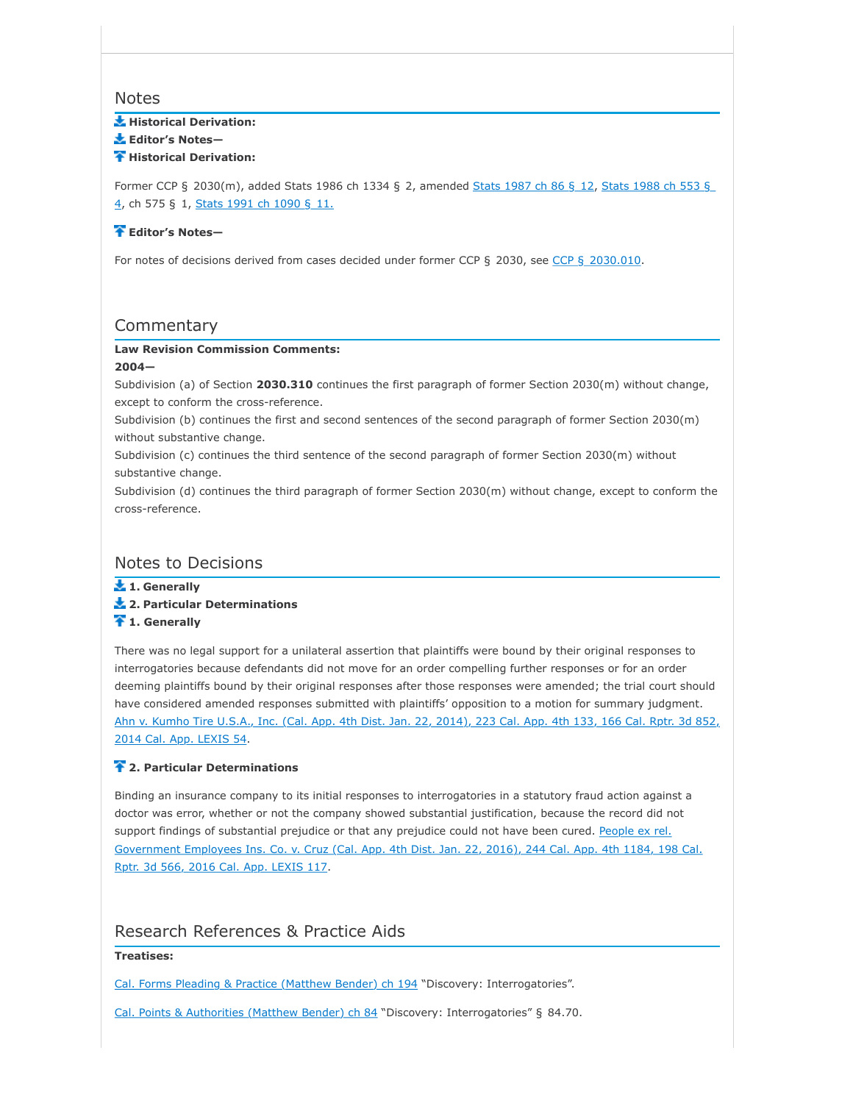# **Notes**

### **Historical Derivation:**

**Editor's Notes—**

#### **Historical Derivation:**

Former CCP § [2030\(m\), added Stats 1986 ch 1334 §](https://advance.lexis.com/document/?pdmfid=1000516&crid=fd1d1e32-1f72-40f8-af71-7e3b47ab4d0b&pddocfullpath=%2Fshared%2Fdocument%2Fstatutes-legislation%2Furn%3AcontentItem%3A5J6R-DD61-66B9-84B6-00000-00&pddocid=urn%3AcontentItem%3A5J6R-DD61-66B9-84B6-00000-00&pdcontentcomponentid=4867&pdteaserkey=sr0&pditab=allpods&ecomp=1f4Lk&earg=sr0&prid=591bf7cd-585d-44ec-8461-022994f9477f#) 2, amended [Stats 1987 ch 86 §](https://advance.lexis.com/document/?pdmfid=1000516&crid=fd1d1e32-1f72-40f8-af71-7e3b47ab4d0b&pddocfullpath=%2Fshared%2Fdocument%2Fstatutes-legislation%2Furn%3AcontentItem%3A5J6R-DD61-66B9-84B6-00000-00&pddocid=urn%3AcontentItem%3A5J6R-DD61-66B9-84B6-00000-00&pdcontentcomponentid=4867&pdteaserkey=sr0&pditab=allpods&ecomp=1f4Lk&earg=sr0&prid=591bf7cd-585d-44ec-8461-022994f9477f#) 12, Stats 1988 ch 553 § 4, ch 575 § 1, [Stats 1991 ch 1090 §](https://advance.lexis.com/document/?pdmfid=1000516&crid=fd1d1e32-1f72-40f8-af71-7e3b47ab4d0b&pddocfullpath=%2Fshared%2Fdocument%2Fstatutes-legislation%2Furn%3AcontentItem%3A5J6R-DD61-66B9-84B6-00000-00&pddocid=urn%3AcontentItem%3A5J6R-DD61-66B9-84B6-00000-00&pdcontentcomponentid=4867&pdteaserkey=sr0&pditab=allpods&ecomp=1f4Lk&earg=sr0&prid=591bf7cd-585d-44ec-8461-022994f9477f#) 11.

### **Editor's Notes—**

For notes of decisions derived from cases decided under former CCP § 2030, see CCP § [2030.010](https://advance.lexis.com/document/?pdmfid=1000516&crid=fd1d1e32-1f72-40f8-af71-7e3b47ab4d0b&pddocfullpath=%2Fshared%2Fdocument%2Fstatutes-legislation%2Furn%3AcontentItem%3A5J6R-DD61-66B9-84B6-00000-00&pddocid=urn%3AcontentItem%3A5J6R-DD61-66B9-84B6-00000-00&pdcontentcomponentid=4867&pdteaserkey=sr0&pditab=allpods&ecomp=1f4Lk&earg=sr0&prid=591bf7cd-585d-44ec-8461-022994f9477f#).

# **Commentary**

### **Law Revision Commission Comments:**

### **2004—**

Subdivision (a) of Section **2030.310** continues the first paragraph of former Section 2030(m) without change, except to conform the cross-reference.

Subdivision (b) continues the first and second sentences of the second paragraph of former Section 2030(m) without substantive change.

Subdivision (c) continues the third sentence of the second paragraph of former Section 2030(m) without substantive change.

Subdivision (d) continues the third paragraph of former Section 2030(m) without change, except to conform the cross-reference.

# Notes to Decisions

**1. Generally**

- **2. Particular Determinations**
- **1. Generally**

There was no legal support for a unilateral assertion that plaintiffs were bound by their original responses to interrogatories because defendants did not move for an order compelling further responses or for an order deeming plaintiffs bound by their original responses after those responses were amended; the trial court should have considered amended responses submitted with plaintiffs' opposition to a motion for summary judgment. [Ahn v. Kumho Tire U.S.A., Inc. \(Cal. App. 4th Dist. Jan. 22, 2014\), 223 Cal. App. 4th 133, 166 Cal. Rptr. 3d 852,](https://advance.lexis.com/document/?pdmfid=1000516&crid=fd1d1e32-1f72-40f8-af71-7e3b47ab4d0b&pddocfullpath=%2Fshared%2Fdocument%2Fstatutes-legislation%2Furn%3AcontentItem%3A5J6R-DD61-66B9-84B6-00000-00&pddocid=urn%3AcontentItem%3A5J6R-DD61-66B9-84B6-00000-00&pdcontentcomponentid=4867&pdteaserkey=sr0&pditab=allpods&ecomp=1f4Lk&earg=sr0&prid=591bf7cd-585d-44ec-8461-022994f9477f#) 2014 Cal. App. LEXIS 54.

### **2. Particular Determinations**

Binding an insurance company to its initial responses to interrogatories in a statutory fraud action against a doctor was error, whether or not the company showed substantial justification, because the record did not support findings of substantial prejudice or that any prejudice could not have been cured. People ex rel. [Government Employees Ins. Co. v. Cruz \(Cal. App. 4th Dist. Jan. 22, 2016\), 244 Cal. App. 4th 1184, 198 Cal.](https://advance.lexis.com/document/?pdmfid=1000516&crid=fd1d1e32-1f72-40f8-af71-7e3b47ab4d0b&pddocfullpath=%2Fshared%2Fdocument%2Fstatutes-legislation%2Furn%3AcontentItem%3A5J6R-DD61-66B9-84B6-00000-00&pddocid=urn%3AcontentItem%3A5J6R-DD61-66B9-84B6-00000-00&pdcontentcomponentid=4867&pdteaserkey=sr0&pditab=allpods&ecomp=1f4Lk&earg=sr0&prid=591bf7cd-585d-44ec-8461-022994f9477f#) Rptr. 3d 566, 2016 Cal. App. LEXIS 117.

# Research References & Practice Aids

### **Treatises:**

[Cal. Forms Pleading & Practice \(Matthew Bender\) ch 194](https://advance.lexis.com/document/?pdmfid=1000516&crid=fd1d1e32-1f72-40f8-af71-7e3b47ab4d0b&pddocfullpath=%2Fshared%2Fdocument%2Fstatutes-legislation%2Furn%3AcontentItem%3A5J6R-DD61-66B9-84B6-00000-00&pddocid=urn%3AcontentItem%3A5J6R-DD61-66B9-84B6-00000-00&pdcontentcomponentid=4867&pdteaserkey=sr0&pditab=allpods&ecomp=1f4Lk&earg=sr0&prid=591bf7cd-585d-44ec-8461-022994f9477f#) "Discovery: Interrogatories".

[Cal. Points & Authorities \(Matthew Bender\) ch 84](https://advance.lexis.com/document/?pdmfid=1000516&crid=fd1d1e32-1f72-40f8-af71-7e3b47ab4d0b&pddocfullpath=%2Fshared%2Fdocument%2Fstatutes-legislation%2Furn%3AcontentItem%3A5J6R-DD61-66B9-84B6-00000-00&pddocid=urn%3AcontentItem%3A5J6R-DD61-66B9-84B6-00000-00&pdcontentcomponentid=4867&pdteaserkey=sr0&pditab=allpods&ecomp=1f4Lk&earg=sr0&prid=591bf7cd-585d-44ec-8461-022994f9477f#) "Discovery: Interrogatories" § 84.70.